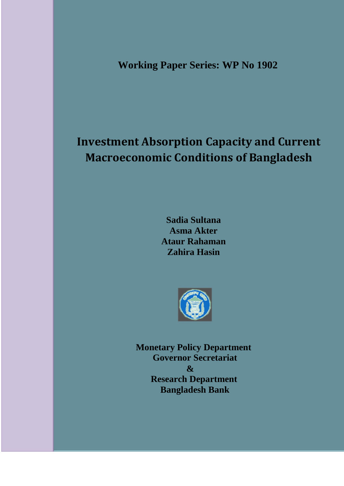**Working Paper Series: WP No 1902**

# **Investment Absorption Capacity and Current Macroeconomic Conditions of Bangladesh**

**Sadia Sultana Asma Akter Ataur Rahaman Zahira Hasin**



**Monetary Policy Department Governor Secretariat & Research Department Bangladesh Bank**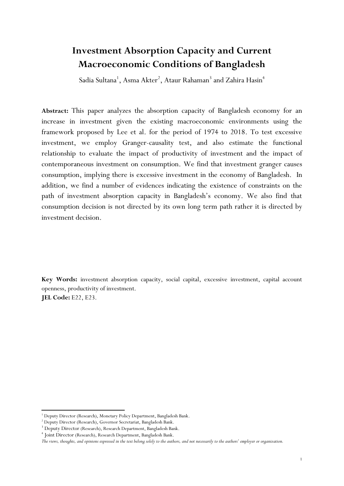## **Investment Absorption Capacity and Current Macroeconomic Conditions of Bangladesh**

Sadia Sultana<sup>1</sup>, Asma Akter<sup>2</sup>, Ataur Rahaman<sup>3</sup> and Zahira Hasin<sup>4</sup>

**Abstract:** This paper analyzes the absorption capacity of Bangladesh economy for an increase in investment given the existing macroeconomic environments using the framework proposed by Lee et al. for the period of 1974 to 2018. To test excessive investment, we employ Granger-causality test, and also estimate the functional relationship to evaluate the impact of productivity of investment and the impact of contemporaneous investment on consumption. We find that investment granger causes consumption, implying there is excessive investment in the economy of Bangladesh. In addition, we find a number of evidences indicating the existence of constraints on the path of investment absorption capacity in Bangladesh's economy. We also find that consumption decision is not directed by its own long term path rather it is directed by investment decision.

**Key Words:** investment absorption capacity, social capital, excessive investment, capital account openness, productivity of investment. **JEL Code:** E22, E23.

**.** 

<sup>&</sup>lt;sup>1</sup> Deputy Director (Research), Monetary Policy Department, Bangladesh Bank.

<sup>2</sup> Deputy Director (Research), Governor Secretariat, Bangladesh Bank.

<sup>&</sup>lt;sup>3</sup> Deputy Director (Research), Research Department, Bangladesh Bank.

<sup>4</sup> Joint Director (Research), Research Department, Bangladesh Bank.

*The views, thoughts, and opinions expressed in the text belong solely to the authors, and not necessarily to the authors' employer or organization.*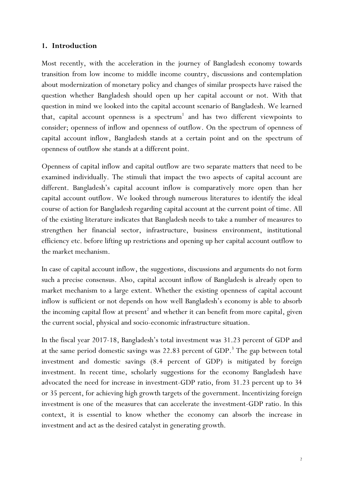### **1. Introduction**

Most recently, with the acceleration in the journey of Bangladesh economy towards transition from low income to middle income country, discussions and contemplation about modernization of monetary policy and changes of similar prospects have raised the question whether Bangladesh should open up her capital account or not. With that question in mind we looked into the capital account scenario of Bangladesh. We learned that, capital account openness is a  $s$  pectrum<sup>1</sup> and has two different viewpoints to consider; openness of inflow and openness of outflow. On the spectrum of openness of capital account inflow, Bangladesh stands at a certain point and on the spectrum of openness of outflow she stands at a different point.

Openness of capital inflow and capital outflow are two separate matters that need to be examined individually. The stimuli that impact the two aspects of capital account are different. Bangladesh's capital account inflow is comparatively more open than her capital account outflow. We looked through numerous literatures to identify the ideal course of action for Bangladesh regarding capital account at the current point of time. All of the existing literature indicates that Bangladesh needs to take a number of measures to strengthen her financial sector, infrastructure, business environment, institutional efficiency etc. before lifting up restrictions and opening up her capital account outflow to the market mechanism.

In case of capital account inflow, the suggestions, discussions and arguments do not form such a precise consensus. Also, capital account inflow of Bangladesh is already open to market mechanism to a large extent. Whether the existing openness of capital account inflow is sufficient or not depends on how well Bangladesh's economy is able to absorb the incoming capital flow at present<sup>2</sup> and whether it can benefit from more capital, given the current social, physical and socio-economic infrastructure situation.

In the fiscal year 2017-18, Bangladesh's total investment was 31.23 percent of GDP and at the same period domestic savings was 22.83 percent of GDP.<sup>3</sup> The gap between total investment and domestic savings (8.4 percent of GDP) is mitigated by foreign investment. In recent time, scholarly suggestions for the economy Bangladesh have advocated the need for increase in investment-GDP ratio, from 31.23 percent up to 34 or 35 percent, for achieving high growth targets of the government. Incentivizing foreign investment is one of the measures that can accelerate the investment-GDP ratio. In this context, it is essential to know whether the economy can absorb the increase in investment and act as the desired catalyst in generating growth.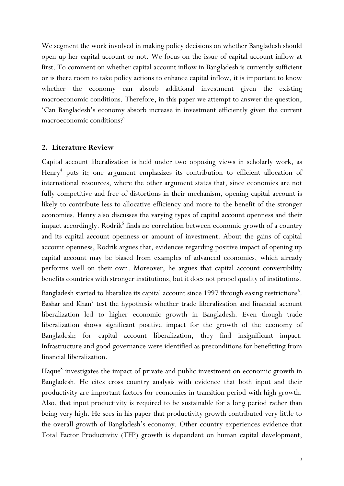We segment the work involved in making policy decisions on whether Bangladesh should open up her capital account or not. We focus on the issue of capital account inflow at first. To comment on whether capital account inflow in Bangladesh is currently sufficient or is there room to take policy actions to enhance capital inflow, it is important to know whether the economy can absorb additional investment given the existing macroeconomic conditions. Therefore, in this paper we attempt to answer the question, 'Can Bangladesh's economy absorb increase in investment efficiently given the current macroeconomic conditions?'

### **2. Literature Review**

Capital account liberalization is held under two opposing views in scholarly work, as Henry<sup>4</sup> puts it; one argument emphasizes its contribution to efficient allocation of international resources, where the other argument states that, since economies are not fully competitive and free of distortions in their mechanism, opening capital account is likely to contribute less to allocative efficiency and more to the benefit of the stronger economies. Henry also discusses the varying types of capital account openness and their impact accordingly. Rodrik<sup>5</sup> finds no correlation between economic growth of a country and its capital account openness or amount of investment. About the gains of capital account openness, Rodrik argues that, evidences regarding positive impact of opening up capital account may be biased from examples of advanced economies, which already performs well on their own. Moreover, he argues that capital account convertibility benefits countries with stronger institutions, but it does not propel quality of institutions.

Bangladesh started to liberalize its capital account since 1997 through easing restrictions<sup>6</sup>. Bashar and Khan<sup>7</sup> test the hypothesis whether trade liberalization and financial account liberalization led to higher economic growth in Bangladesh. Even though trade liberalization shows significant positive impact for the growth of the economy of Bangladesh; for capital account liberalization, they find insignificant impact. Infrastructure and good governance were identified as preconditions for benefitting from financial liberalization.

Haque<sup>8</sup> investigates the impact of private and public investment on economic growth in Bangladesh. He cites cross country analysis with evidence that both input and their productivity are important factors for economies in transition period with high growth. Also, that input productivity is required to be sustainable for a long period rather than being very high. He sees in his paper that productivity growth contributed very little to the overall growth of Bangladesh's economy. Other country experiences evidence that Total Factor Productivity (TFP) growth is dependent on human capital development,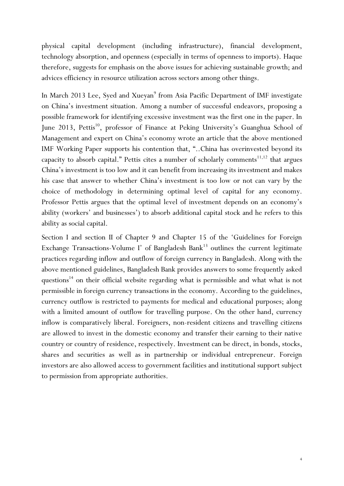physical capital development (including infrastructure), financial development, technology absorption, and openness (especially in terms of openness to imports). Haque therefore, suggests for emphasis on the above issues for achieving sustainable growth; and advices efficiency in resource utilization across sectors among other things.

In March 2013 Lee, Syed and Xueyan<sup>9</sup> from Asia Pacific Department of IMF investigate on China's investment situation. Among a number of successful endeavors, proposing a possible framework for identifying excessive investment was the first one in the paper. In June 2013, Pettis<sup>10</sup>, professor of Finance at Peking University's Guanghua School of Management and expert on China's economy wrote an article that the above mentioned IMF Working Paper supports his contention that, "..China has overinvested beyond its capacity to absorb capital." Pettis cites a number of scholarly comments<sup>11,12</sup> that argues China's investment is too low and it can benefit from increasing its investment and makes his case that answer to whether China's investment is too low or not can vary by the choice of methodology in determining optimal level of capital for any economy. Professor Pettis argues that the optimal level of investment depends on an economy's ability (workers' and businesses') to absorb additional capital stock and he refers to this ability as social capital.

Section I and section II of Chapter 9 and Chapter 15 of the 'Guidelines for Foreign Exchange Transactions-Volume I' of Bangladesh Bank<sup>13</sup> outlines the current legitimate practices regarding inflow and outflow of foreign currency in Bangladesh. Along with the above mentioned guidelines, Bangladesh Bank provides answers to some frequently asked questions<sup>14</sup> on their official website regarding what is permissible and what what is not permissible in foreign currency transactions in the economy. According to the guidelines, currency outflow is restricted to payments for medical and educational purposes; along with a limited amount of outflow for travelling purpose. On the other hand, currency inflow is comparatively liberal. Foreigners, non-resident citizens and travelling citizens are allowed to invest in the domestic economy and transfer their earning to their native country or country of residence, respectively. Investment can be direct, in bonds, stocks, shares and securities as well as in partnership or individual entrepreneur. Foreign investors are also allowed access to government facilities and institutional support subject to permission from appropriate authorities.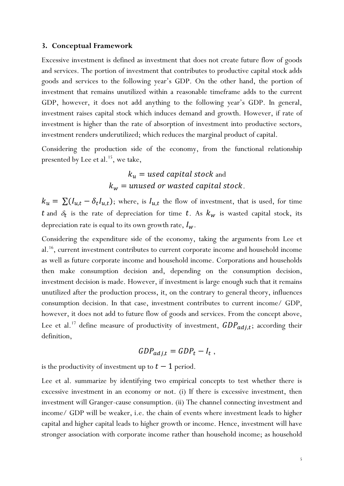#### **3. Conceptual Framework**

Excessive investment is defined as investment that does not create future flow of goods and services. The portion of investment that contributes to productive capital stock adds goods and services to the following year's GDP. On the other hand, the portion of investment that remains unutilized within a reasonable timeframe adds to the current GDP, however, it does not add anything to the following year's GDP. In general, investment raises capital stock which induces demand and growth. However, if rate of investment is higher than the rate of absorption of investment into productive sectors, investment renders underutilized; which reduces the marginal product of capital.

Considering the production side of the economy, from the functional relationship presented by Lee et al.<sup>15</sup>, we take,

### $k_u$  = used capital stock and  $k_w$  = unused or wasted capital stock.

 $k_u = \sum (I_{u,t} - \delta_t I_{u,t})$ ; where, is  $I_{u,t}$  the flow of investment, that is used, for time t and  $\delta_t$  is the rate of depreciation for time t. As  $k_w$  is wasted capital stock, its depreciation rate is equal to its own growth rate,  $I_w$ .

Considering the expenditure side of the economy, taking the arguments from Lee et al.<sup>16</sup>, current investment contributes to current corporate income and household income as well as future corporate income and household income. Corporations and households then make consumption decision and, depending on the consumption decision, investment decision is made. However, if investment is large enough such that it remains unutilized after the production process, it, on the contrary to general theory, influences consumption decision. In that case, investment contributes to current income/ GDP, however, it does not add to future flow of goods and services. From the concept above, Lee et al.<sup>17</sup> define measure of productivity of investment,  $GDP_{adj,t}$ ; according their definition,

$$
GDP_{adj,t} = GDP_t - I_t,
$$

is the productivity of investment up to  $t-1$  period.

Lee et al. summarize by identifying two empirical concepts to test whether there is excessive investment in an economy or not. (i) If there is excessive investment, then investment will Granger-cause consumption. (ii) The channel connecting investment and income/ GDP will be weaker, i.e. the chain of events where investment leads to higher capital and higher capital leads to higher growth or income. Hence, investment will have stronger association with corporate income rather than household income; as household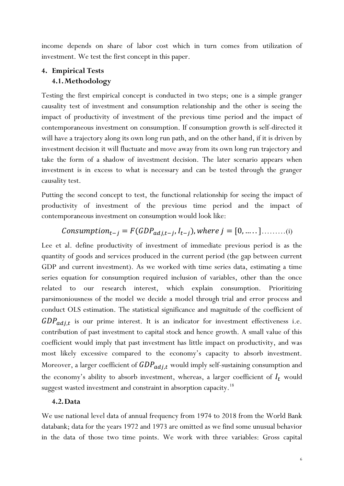income depends on share of labor cost which in turn comes from utilization of investment. We test the first concept in this paper.

### **4. Empirical Tests 4.1.Methodology**

Testing the first empirical concept is conducted in two steps; one is a simple granger causality test of investment and consumption relationship and the other is seeing the impact of productivity of investment of the previous time period and the impact of contemporaneous investment on consumption. If consumption growth is self-directed it will have a trajectory along its own long run path, and on the other hand, if it is driven by investment decision it will fluctuate and move away from its own long run trajectory and take the form of a shadow of investment decision. The later scenario appears when investment is in excess to what is necessary and can be tested through the granger causality test.

Putting the second concept to test, the functional relationship for seeing the impact of productivity of investment of the previous time period and the impact of contemporaneous investment on consumption would look like:

### *Consumption*<sub>t-j</sub> =  $F(GDP_{adj,t-j}, I_{t-j})$ , where  $j = [0, \dots, ] \dots, \dots, (i)$

Lee et al. define productivity of investment of immediate previous period is as the quantity of goods and services produced in the current period (the gap between current GDP and current investment). As we worked with time series data, estimating a time series equation for consumption required inclusion of variables, other than the once related to our research interest, which explain consumption. Prioritizing parsimoniousness of the model we decide a model through trial and error process and conduct OLS estimation. The statistical significance and magnitude of the coefficient of  $GDP_{adj,t}$  is our prime interest. It is an indicator for investment effectiveness i.e. contribution of past investment to capital stock and hence growth. A small value of this coefficient would imply that past investment has little impact on productivity, and was most likely excessive compared to the economy's capacity to absorb investment. Moreover, a larger coefficient of  $GDP_{adj,t}$  would imply self-sustaining consumption and the economy's ability to absorb investment, whereas, a larger coefficient of  $I_t$  would suggest wasted investment and constraint in absorption capacity.<sup>18</sup>

### **4.2.Data**

We use national level data of annual frequency from 1974 to 2018 from the World Bank databank; data for the years 1972 and 1973 are omitted as we find some unusual behavior in the data of those two time points. We work with three variables: Gross capital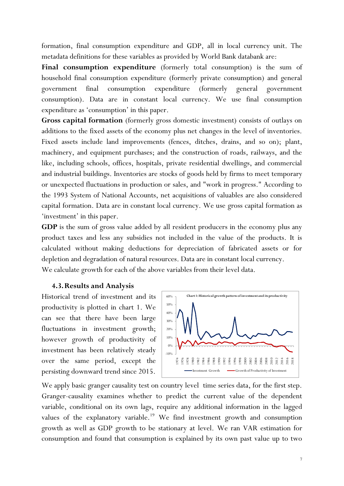formation, final consumption expenditure and GDP, all in local currency unit. The metadata definitions for these variables as provided by World Bank databank are:

**Final consumption expenditure** (formerly total consumption) is the sum of household final consumption expenditure (formerly private consumption) and general government final consumption expenditure (formerly general government consumption). Data are in constant local currency. We use final consumption expenditure as 'consumption' in this paper.

**Gross capital formation** (formerly gross domestic investment) consists of outlays on additions to the fixed assets of the economy plus net changes in the level of inventories. Fixed assets include land improvements (fences, ditches, drains, and so on); plant, machinery, and equipment purchases; and the construction of roads, railways, and the like, including schools, offices, hospitals, private residential dwellings, and commercial and industrial buildings. Inventories are stocks of goods held by firms to meet temporary or unexpected fluctuations in production or sales, and "work in progress." According to the 1993 System of National Accounts, net acquisitions of valuables are also considered capital formation. Data are in constant local currency. We use gross capital formation as 'investment' in this paper.

**GDP** is the sum of gross value added by all resident producers in the economy plus any product taxes and less any subsidies not included in the value of the products. It is calculated without making deductions for depreciation of fabricated assets or for depletion and degradation of natural resources. Data are in constant local currency. We calculate growth for each of the above variables from their level data.

### **4.3.Results and Analysis**

Historical trend of investment and its productivity is plotted in chart 1. We can see that there have been large fluctuations in investment growth; however growth of productivity of investment has been relatively steady over the same period, except the persisting downward trend since 2015.



We apply basic granger causality test on country level time series data, for the first step. Granger-causality examines whether to predict the current value of the dependent variable, conditional on its own lags, require any additional information in the lagged values of the explanatory variable.<sup>19</sup> We find investment growth and consumption growth as well as GDP growth to be stationary at level. We ran VAR estimation for consumption and found that consumption is explained by its own past value up to two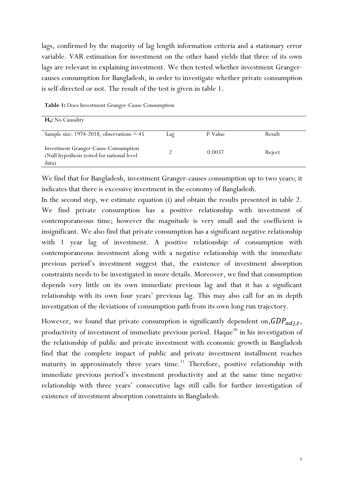lags, confirmed by the majority of lag length information criteria and a stationary error variable. VAR estimation for investment on the other hand yields that three of its own lags are relevant in explaining investment. We then tested whether investment Grangercauses consumption for Bangladesh, in order to investigate whether private consumption is self-directed or not. The result of the test is given in table 1.

| $H_0$ : No Causality                                                                        |     |         |        |
|---------------------------------------------------------------------------------------------|-----|---------|--------|
| Sample size: $1974-2018$ , observations = 45                                                | Lag | P-Value | Result |
| Investment Granger-Cause Consumption<br>(Null hypothesis tested for national level<br>data) |     | 0.0037  | Reject |

**Table 1:** Does Investment Granger-Cause Consumption

We find that for Bangladesh, investment Granger-causes consumption up to two years; it indicates that there is excessive investment in the economy of Bangladesh.

In the second step, we estimate equation (i) and obtain the results presented in table 2. We find private consumption has a positive relationship with investment of contemporaneous time; however the magnitude is very small and the coefficient is insignificant. We also find that private consumption has a significant negative relationship with 1 year lag of investment. A positive relationship of consumption with contemporaneous investment along with a negative relationship with the immediate previous period's investment suggest that, the existence of investment absorption constraints needs to be investigated in more details. Moreover, we find that consumption depends very little on its own immediate previous lag and that it has a significant relationship with its own four years' previous lag. This may also call for an in depth investigation of the deviations of consumption path from its own long run trajectory.

However, we found that private consumption is significantly dependent on,  $GDP_{adj, t}$ , productivity of investment of immediate previous period. Haque<sup>20</sup> in his investigation of the relationship of public and private investment with economic growth in Bangladesh find that the complete impact of public and private investment installment reaches maturity in approximately three years time.<sup>21</sup> Therefore, positive relationship with immediate previous period's investment productivity and at the same time negative relationship with three years' consecutive lags still calls for further investigation of existence of investment absorption constraints in Bangladesh.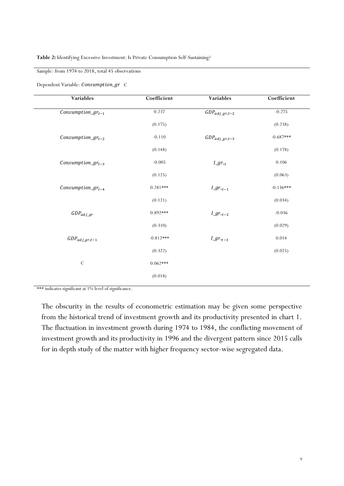#### Sample: from 1974 to 2018, total 45 observations

Dependent Variable: Consumption\_gr C

| Variables                                   | Coefficient | <b>Variables</b>               | Coefficient |
|---------------------------------------------|-------------|--------------------------------|-------------|
| $\overline{\textit{Consumption\_gr}_{t-1}}$ | 0.237       | $\overline{GDP}_{adj\_gr,t-2}$ | $-0.275$    |
|                                             | (0.175)     |                                | (0.238)     |
| $Consumption\_gr_{t-2}$                     | $-0.110$    | $GDP_{adj\_gr, t-3}$           | $-0.687***$ |
|                                             | (0.148)     |                                | (0.178)     |
| $Consumption\_gr_{t-3}$                     | $-0.005$    | $I\_gr_{,t}$                   | 0.106       |
|                                             | (0.125)     |                                | (0.063)     |
| $\mathit{Consumption\_gr_{t-4}}$            | $0.281***$  | $I\_gr_{,t-1}$                 | $-0.136***$ |
|                                             | (0.121)     |                                | (0.034)     |
| $GDP_{adj\_gr}$                             | $0.892***$  | $I\_gr_{,t-2}$                 | $-0.036$    |
|                                             | (0.310)     |                                | (0.029)     |
| $GDP_{adj\_gr,t-1}$                         | $-0.812***$ | $I\_gr_{,t-3}$                 | 0.014       |
|                                             | (0.322)     |                                | (0.025)     |
| $\mathcal{C}$                               | $0.062***$  |                                |             |
|                                             | (0.018)     |                                |             |
|                                             |             |                                |             |

\*\*\* indicates significant at 1% level of significance.

The obscurity in the results of econometric estimation may be given some perspective from the historical trend of investment growth and its productivity presented in chart 1. The fluctuation in investment growth during 1974 to 1984, the conflicting movement of investment growth and its productivity in 1996 and the divergent pattern since 2015 calls for in depth study of the matter with higher frequency sector-wise segregated data.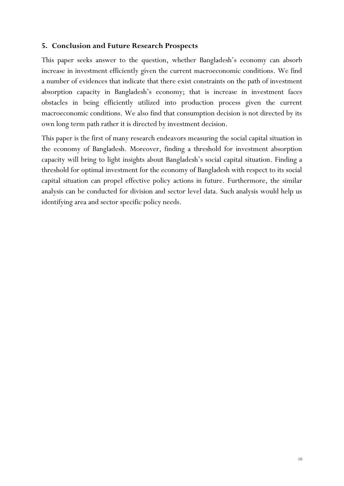### **5. Conclusion and Future Research Prospects**

This paper seeks answer to the question, whether Bangladesh's economy can absorb increase in investment efficiently given the current macroeconomic conditions. We find a number of evidences that indicate that there exist constraints on the path of investment absorption capacity in Bangladesh's economy; that is increase in investment faces obstacles in being efficiently utilized into production process given the current macroeconomic conditions. We also find that consumption decision is not directed by its own long term path rather it is directed by investment decision.

This paper is the first of many research endeavors measuring the social capital situation in the economy of Bangladesh. Moreover, finding a threshold for investment absorption capacity will bring to light insights about Bangladesh's social capital situation. Finding a threshold for optimal investment for the economy of Bangladesh with respect to its social capital situation can propel effective policy actions in future. Furthermore, the similar analysis can be conducted for division and sector level data. Such analysis would help us identifying area and sector specific policy needs.